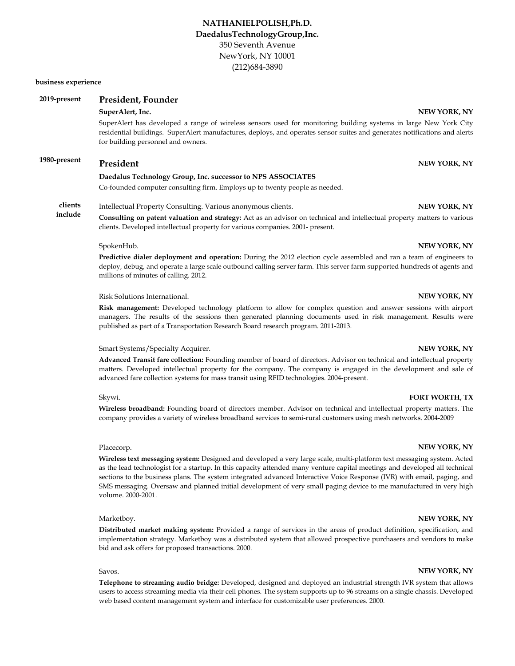#### **business experience**

| 2019-present       | President, Founder                                                                                                                                                                                                                                                                                                                                                                                                                                                                                                                  |                       |  |
|--------------------|-------------------------------------------------------------------------------------------------------------------------------------------------------------------------------------------------------------------------------------------------------------------------------------------------------------------------------------------------------------------------------------------------------------------------------------------------------------------------------------------------------------------------------------|-----------------------|--|
|                    | SuperAlert, Inc.<br>SuperAlert has developed a range of wireless sensors used for monitoring building systems in large New York City<br>residential buildings. SuperAlert manufactures, deploys, and operates sensor suites and generates notifications and alerts<br>for building personnel and owners.                                                                                                                                                                                                                            | NEW YORK, NY          |  |
| 1980-present       | President                                                                                                                                                                                                                                                                                                                                                                                                                                                                                                                           | NEW YORK, NY          |  |
|                    | Daedalus Technology Group, Inc. successor to NPS ASSOCIATES                                                                                                                                                                                                                                                                                                                                                                                                                                                                         |                       |  |
|                    | Co-founded computer consulting firm. Employs up to twenty people as needed.                                                                                                                                                                                                                                                                                                                                                                                                                                                         |                       |  |
| clients<br>include | Intellectual Property Consulting. Various anonymous clients.                                                                                                                                                                                                                                                                                                                                                                                                                                                                        | NEW YORK, NY          |  |
|                    | <b>Consulting on patent valuation and strategy:</b> Act as an advisor on technical and intellectual property matters to various<br>clients. Developed intellectual property for various companies. 2001- present.                                                                                                                                                                                                                                                                                                                   |                       |  |
|                    | SpokenHub.                                                                                                                                                                                                                                                                                                                                                                                                                                                                                                                          | NEW YORK, NY          |  |
|                    | <b>Predictive dialer deployment and operation:</b> During the 2012 election cycle assembled and ran a team of engineers to<br>deploy, debug, and operate a large scale outbound calling server farm. This server farm supported hundreds of agents and<br>millions of minutes of calling. 2012.                                                                                                                                                                                                                                     |                       |  |
|                    | Risk Solutions International.                                                                                                                                                                                                                                                                                                                                                                                                                                                                                                       | NEW YORK, NY          |  |
|                    | <b>Risk management:</b> Developed technology platform to allow for complex question and answer sessions with airport<br>managers. The results of the sessions then generated planning documents used in risk management. Results were<br>published as part of a Transportation Research Board research program. 2011-2013.                                                                                                                                                                                                          |                       |  |
|                    | Smart Systems/Specialty Acquirer.                                                                                                                                                                                                                                                                                                                                                                                                                                                                                                   | NEW YORK, NY          |  |
|                    | <b>Advanced Transit fare collection:</b> Founding member of board of directors. Advisor on technical and intellectual property<br>matters. Developed intellectual property for the company. The company is engaged in the development and sale of<br>advanced fare collection systems for mass transit using RFID technologies. 2004-present.                                                                                                                                                                                       |                       |  |
|                    | Skywi.                                                                                                                                                                                                                                                                                                                                                                                                                                                                                                                              | <b>FORT WORTH, TX</b> |  |
|                    | <b>Wireless broadband:</b> Founding board of directors member. Advisor on technical and intellectual property matters. The<br>company provides a variety of wireless broadband services to semi-rural customers using mesh networks. 2004-2009                                                                                                                                                                                                                                                                                      |                       |  |
|                    | Placecorp.                                                                                                                                                                                                                                                                                                                                                                                                                                                                                                                          | NEW YORK, NY          |  |
|                    | <b>Wireless text messaging system:</b> Designed and developed a very large scale, multi-platform text messaging system. Acted<br>as the lead technologist for a startup. In this capacity attended many venture capital meetings and developed all technical<br>sections to the business plans. The system integrated advanced Interactive Voice Response (IVR) with email, paging, and<br>SMS messaging. Oversaw and planned initial development of very small paging device to me manufactured in very high<br>volume. 2000-2001. |                       |  |
|                    | Marketboy.                                                                                                                                                                                                                                                                                                                                                                                                                                                                                                                          | NEW YORK, NY          |  |

**Distributed market making system:** Provided a range of services in the areas of product definition, specification, and implementation strategy. Marketboy was a distributed system that allowed prospective purchasers and vendors to make bid and ask offers for proposed transactions. 2000.

## Savos. **NEW YORK, NY**

**Telephone to streaming audio bridge:** Developed, designed and deployed an industrial strength IVR system that allows users to access streaming media via their cell phones. The system supports up to 96 streams on a single chassis. Developed web based content management system and interface for customizable user preferences. 2000.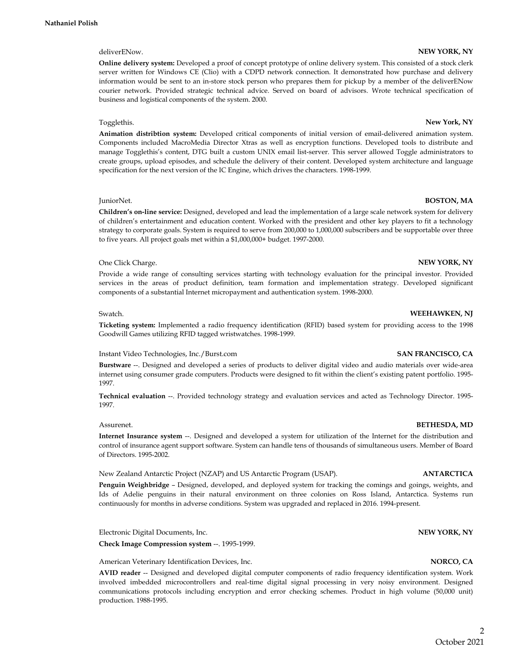### **Online delivery system:** Developed a proof of concept prototype of online delivery system. This consisted of a stock clerk server written for Windows CE (Clio) with a CDPD network connection. It demonstrated how purchase and delivery information would be sent to an in-store stock person who prepares them for pickup by a member of the deliverENow courier network. Provided strategic technical advice. Served on board of advisors. Wrote technical specification of business and logistical components of the system. 2000.

### Togglethis. **New York, NY**

**Animation distribtion system:** Developed critical components of initial version of email-delivered animation system. Components included MacroMedia Director Xtras as well as encryption functions. Developed tools to distribute and manage Togglethis's content, DTG built a custom UNIX email list-server. This server allowed Toggle administrators to create groups, upload episodes, and schedule the delivery of their content. Developed system architecture and language specification for the next version of the IC Engine, which drives the characters. 1998-1999.

#### JuniorNet. **BOSTON, MA**

**Children's on-line service:** Designed, developed and lead the implementation of a large scale network system for delivery of children's entertainment and education content. Worked with the president and other key players to fit a technology strategy to corporate goals. System is required to serve from 200,000 to 1,000,000 subscribers and be supportable over three to five years. All project goals met within a \$1,000,000+ budget. 1997-2000.

### One Click Charge. **NEW YORK, NY**

Provide a wide range of consulting services starting with technology evaluation for the principal investor. Provided services in the areas of product definition, team formation and implementation strategy. Developed significant components of a substantial Internet micropayment and authentication system. 1998-2000.

### Swatch. **WEEHAWKEN, NJ**

**Ticketing system:** Implemented a radio frequency identification (RFID) based system for providing access to the 1998 Goodwill Games utilizing RFID tagged wristwatches. 1998-1999.

#### Instant Video Technologies, Inc./Burst.com **SAN FRANCISCO, CA**

**Burstware** --. Designed and developed a series of products to deliver digital video and audio materials over wide-area internet using consumer grade computers. Products were designed to fit within the client's existing patent portfolio. 1995- 1997.

**Technical evaluation** --. Provided technology strategy and evaluation services and acted as Technology Director. 1995- 1997.

#### Assurenet. **BETHESDA, MD**

**Internet Insurance system** --. Designed and developed a system for utilization of the Internet for the distribution and control of insurance agent support software. System can handle tens of thousands of simultaneous users. Member of Board of Directors. 1995-2002.

New Zealand Antarctic Project (NZAP) and US Antarctic Program (USAP). **ANTARCTICA**

**Penguin Weighbridge** – Designed, developed, and deployed system for tracking the comings and goings, weights, and Ids of Adelie penguins in their natural environment on three colonies on Ross Island, Antarctica. Systems run continuously for months in adverse conditions. System was upgraded and replaced in 2016. 1994-present.

Electronic Digital Documents, Inc. **NEW YORK, NY**

**Check Image Compression system** --. 1995-1999.

American Veterinary Identification Devices, Inc. **NORCO, CA**

**AVID reader** -- Designed and developed digital computer components of radio frequency identification system. Work involved imbedded microcontrollers and real-time digital signal processing in very noisy environment. Designed communications protocols including encryption and error checking schemes. Product in high volume (50,000 unit) production. 1988-1995.

# 2

## deliverENow. **NEW YORK, NY**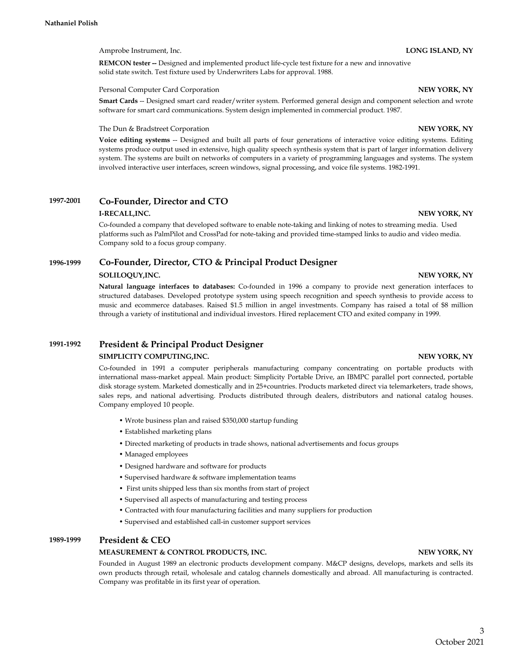Amprobe Instrument, Inc. **LONG ISLAND, NY**

**REMCON tester --** Designed and implemented product life-cycle test fixture for a new and innovative solid state switch. Test fixture used by Underwriters Labs for approval. 1988.

Personal Computer Card Corporation **NEW YORK, NY**

**Smart Cards** -- Designed smart card reader/writer system. Performed general design and component selection and wrote software for smart card communications. System design implemented in commercial product. 1987.

The Dun & Bradstreet Corporation **NEW YORK, NY**

**Voice editing systems** -- Designed and built all parts of four generations of interactive voice editing systems. Editing systems produce output used in extensive, high quality speech synthesis system that is part of larger information delivery system. The systems are built on networks of computers in a variety of programming languages and systems. The system involved interactive user interfaces, screen windows, signal processing, and voice file systems. 1982-1991.

#### **1997-2001 Co-Founder, Director and CTO**

### **I-RECALL,INC.** NEW YORK, NY

Co-founded a company that developed software to enable note-taking and linking of notes to streaming media. Used platforms such as PalmPilot and CrossPad for note-taking and provided time-stamped links to audio and video media. Company sold to a focus group company.

#### **1996-1999 Co-Founder, Director, CTO & Principal Product Designer**

### **SOLILOQUY,INC. NEW YORK, NY**

**Natural language interfaces to databases:** Co-founded in 1996 a company to provide next generation interfaces to structured databases. Developed prototype system using speech recognition and speech synthesis to provide access to music and ecommerce databases. Raised \$1.5 million in angel investments. Company has raised a total of \$8 million through a variety of institutional and individual investors. Hired replacement CTO and exited company in 1999.

#### **1991-1992 SIMPLICITY COMPUTING,INC.** NEW YORK, NY **President & Principal Product Designer**

Co-founded in 1991 a computer peripherals manufacturing company concentrating on portable products with international mass-market appeal. Main product: Simplicity Portable Drive, an IBMPC parallel port connected, portable disk storage system. Marketed domestically and in 25+countries. Products marketed direct via telemarketers, trade shows, sales reps, and national advertising. Products distributed through dealers, distributors and national catalog houses. Company employed 10 people.

- Wrote business plan and raised \$350,000 startup funding
- Established marketing plans
- Directed marketing of products in trade shows, national advertisements and focus groups
- Managed employees
- Designed hardware and software for products
- Supervised hardware & software implementation teams
- First units shipped less than six months from start of project
- Supervised all aspects of manufacturing and testing process
- Contracted with four manufacturing facilities and many suppliers for production
- Supervised and established call-in customer support services

#### **1989-1999 President & CEO**

## **MEASUREMENT & CONTROL PRODUCTS, INC.** NEW YORK, NY

Founded in August 1989 an electronic products development company. M&CP designs, develops, markets and sells its own products through retail, wholesale and catalog channels domestically and abroad. All manufacturing is contracted. Company was profitable in its first year of operation.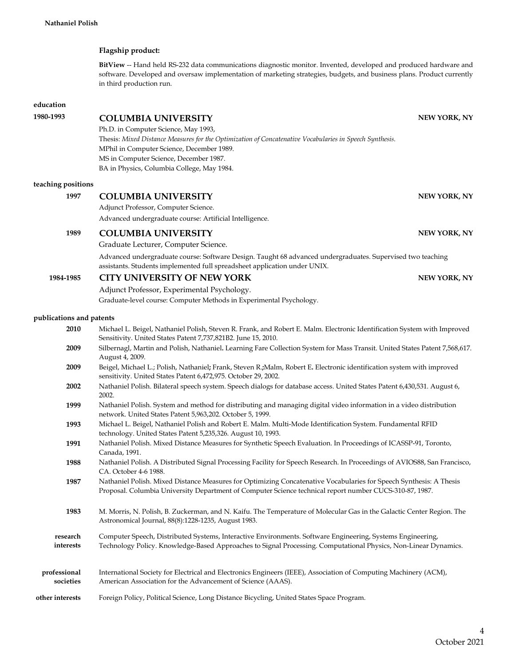## **Flagship product:**

**BitView** -- Hand held RS-232 data communications diagnostic monitor. Invented, developed and produced hardware and software. Developed and oversaw implementation of marketing strategies, budgets, and business plans. Product currently in third production run.

### **education**

# **1980-1993** COLUMBIA UNIVERSITY NEW YORK, NY

MS in Computer Science, December 1987. Ph.D. in Computer Science, May 1993, Thesis: *Mixed Distance Measures for the Optimization of Concatenative Vocabularies in Speech Synthesis.* MPhil in Computer Science, December 1989. BA in Physics, Columbia College, May 1984.

### **teaching positions**

## **1997 •• COLUMBIA UNIVERSITY NEW YORK, NY**

Adjunct Professor, Computer Science.

Advanced undergraduate course: Artificial Intelligence.

## **1989 COLUMBIA UNIVERSITY NEW YORK, NY**

Graduate Lecturer, Computer Science.

Advanced undergraduate course: Software Design. Taught 68 advanced undergraduates. Supervised two teaching assistants. Students implemented full spreadsheet application under UNIX.

# **1984-1985 CITY UNIVERSITY OF NEW YORK NEW YORK, NY**

Adjunct Professor, Experimental Psychology. Graduate-level course: Computer Methods in Experimental Psychology.

### **publications and patents**

| 2010                      | Michael L. Beigel, Nathaniel Polish, Steven R. Frank, and Robert E. Malm. Electronic Identification System with Improved<br>Sensitivity. United States Patent 7,737,821B2. June 15, 2010.                                     |  |
|---------------------------|-------------------------------------------------------------------------------------------------------------------------------------------------------------------------------------------------------------------------------|--|
| 2009                      | Silbernagl, Martin and Polish, Nathaniel. Learning Fare Collection System for Mass Transit. United States Patent 7,568,617.<br>August 4, 2009.                                                                                |  |
| 2009                      | Beigel, Michael L.; Polish, Nathaniel; Frank, Steven R.; Malm, Robert E. Electronic identification system with improved<br>sensitivity. United States Patent 6,472,975. October 29, 2002.                                     |  |
| 2002                      | Nathaniel Polish. Bilateral speech system. Speech dialogs for database access. United States Patent 6,430,531. August 6,<br>2002.                                                                                             |  |
| 1999                      | Nathaniel Polish. System and method for distributing and managing digital video information in a video distribution<br>network. United States Patent 5,963,202. October 5, 1999.                                              |  |
| 1993                      | Michael L. Beigel, Nathaniel Polish and Robert E. Malm. Multi-Mode Identification System. Fundamental RFID<br>technology. United States Patent 5,235,326. August 10, 1993.                                                    |  |
| 1991                      | Nathaniel Polish. Mixed Distance Measures for Synthetic Speech Evaluation. In Proceedings of ICASSP-91, Toronto,<br>Canada, 1991.                                                                                             |  |
| 1988                      | Nathaniel Polish. A Distributed Signal Processing Facility for Speech Research. In Proceedings of AVIOS88, San Francisco,<br>CA. October 4-6 1988.                                                                            |  |
| 1987                      | Nathaniel Polish. Mixed Distance Measures for Optimizing Concatenative Vocabularies for Speech Synthesis: A Thesis<br>Proposal. Columbia University Department of Computer Science technical report number CUCS-310-87, 1987. |  |
| 1983                      | M. Morris, N. Polish, B. Zuckerman, and N. Kaifu. The Temperature of Molecular Gas in the Galactic Center Region. The<br>Astronomical Journal, 88(8):1228-1235, August 1983.                                                  |  |
| research<br>interests     | Computer Speech, Distributed Systems, Interactive Environments. Software Engineering, Systems Engineering,<br>Technology Policy. Knowledge-Based Approaches to Signal Processing. Computational Physics, Non-Linear Dynamics. |  |
| professional<br>societies | International Society for Electrical and Electronics Engineers (IEEE), Association of Computing Machinery (ACM),<br>American Association for the Advancement of Science (AAAS).                                               |  |
| other interests           | Foreign Policy, Political Science, Long Distance Bicycling, United States Space Program.                                                                                                                                      |  |